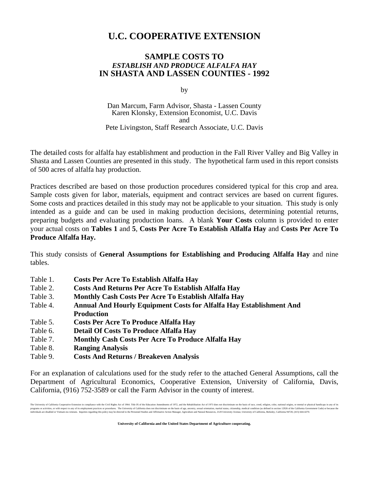## **U.C. COOPERATIVE EXTENSION**

## **SAMPLE COSTS TO**  *ESTABLISH AND PRODUCE ALFALFA HAY*  **IN SHASTA AND LASSEN COUNTIES - 1992**

by

Dan Marcum, Farm Advisor, Shasta - Lassen County Karen Klonsky, Extension Economist, U.C. Davis and Pete Livingston, Staff Research Associate, U.C. Davis

The detailed costs for alfalfa hay establishment and production in the Fall River Valley and Big Valley in Shasta and Lassen Counties are presented in this study. The hypothetical farm used in this report consists of 500 acres of alfalfa hay production.

Practices described are based on those production procedures considered typical for this crop and area. Sample costs given for labor, materials, equipment and contract services are based on current figures. Some costs and practices detailed in this study may not be applicable to your situation. This study is only intended as a guide and can be used in making production decisions, determining potential returns, preparing budgets and evaluating production loans. A blank **Your Costs** column is provided to enter your actual costs on **Tables 1** and **5**, **Costs Per Acre To Establish Alfalfa Hay** and **Costs Per Acre To Produce Alfalfa Hay.**

This study consists of **General Assumptions for Establishing and Producing Alfalfa Hay** and nine tables.

- Table 1. **Costs Per Acre To Establish Alfalfa Hay**
- Table 2. **Costs And Returns Per Acre To Establish Alfalfa Hay**
- Table 3. **Monthly Cash Costs Per Acre To Establish Alfalfa Hay**
- Table 4. **Annual And Hourly Equipment Costs for Alfalfa Hay Establishment And Production**
- Table 5. **Costs Per Acre To Produce Alfalfa Hay**
- Table 6. **Detail Of Costs To Produce Alfalfa Hay**
- Table 7. **Monthly Cash Costs Per Acre To Produce Alfalfa Hay**
- Table 8. **Ranging Analysis**
- Table 9. **Costs And Returns / Breakeven Analysis**

For an explanation of calculations used for the study refer to the attached General Assumptions, call the Department of Agricultural Economics, Cooperative Extension, University of California, Davis, California, (916) 752-3589 or call the Farm Advisor in the county of interest.

The University of California Cooperative Extension in compliance with the Civil Rights Act of 1964. Tide IX of the Education Amendments of 1972, and the Relabilitation Act of 1973 does not discriminate on the basis of age, programs or accept and respect to any of its employment practies or procedure. The University of California descend this mater to the least of age, ancestry, sexual orientation, marial status, many secure includes and Affi

**University of California and the United States Department of Agriculture cooperating.**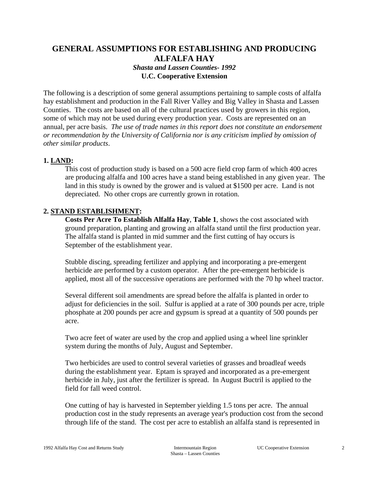## **GENERAL ASSUMPTIONS FOR ESTABLISHING AND PRODUCING ALFALFA HAY**  *Shasta and Lassen Counties- 1992* **U.C. Cooperative Extension**

The following is a description of some general assumptions pertaining to sample costs of alfalfa hay establishment and production in the Fall River Valley and Big Valley in Shasta and Lassen Counties. The costs are based on all of the cultural practices used by growers in this region, some of which may not be used during every production year.Costs are represented on an annual, per acre basis. *The use of trade names in this report does not constitute an endorsement or recommendation by the University of California nor is any criticism implied by omission of other similar products*.

## **1. LAND:**

 This cost of production study is based on a 500 acre field crop farm of which 400 acres are producing alfalfa and 100 acres have a stand being established in any given year. The land in this study is owned by the grower and is valued at \$1500 per acre. Land is not depreciated. No other crops are currently grown in rotation.

## **2. STAND ESTABLISHMENT:**

**Costs Per Acre To Establish Alfalfa Hay**, **Table 1**, shows the cost associated with ground preparation, planting and growing an alfalfa stand until the first production year. The alfalfa stand is planted in mid summer and the first cutting of hay occurs is September of the establishment year.

Stubble discing, spreading fertilizer and applying and incorporating a pre-emergent herbicide are performed by a custom operator. After the pre-emergent herbicide is applied, most all of the successive operations are performed with the 70 hp wheel tractor.

Several different soil amendments are spread before the alfalfa is planted in order to adjust for deficiencies in the soil. Sulfur is applied at a rate of 300 pounds per acre, triple phosphate at 200 pounds per acre and gypsum is spread at a quantity of 500 pounds per acre.

Two acre feet of water are used by the crop and applied using a wheel line sprinkler system during the months of July, August and September.

Two herbicides are used to control several varieties of grasses and broadleaf weeds during the establishment year. Eptam is sprayed and incorporated as a pre-emergent herbicide in July, just after the fertilizer is spread. In August Buctril is applied to the field for fall weed control.

One cutting of hay is harvested in September yielding 1.5 tons per acre. The annual production cost in the study represents an average year's production cost from the second through life of the stand. The cost per acre to establish an alfalfa stand is represented in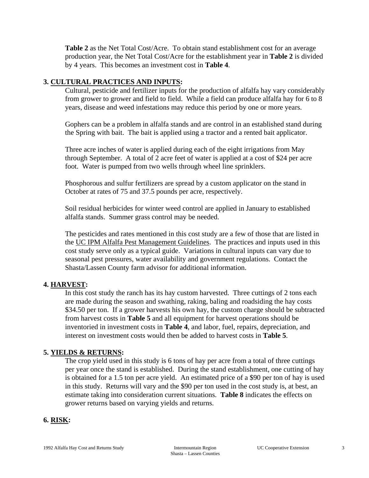**Table 2** as the Net Total Cost/Acre. To obtain stand establishment cost for an average production year, the Net Total Cost/Acre for the establishment year in **Table 2** is divided by 4 years. This becomes an investment cost in **Table 4**.

## **3. CULTURAL PRACTICES AND INPUTS:**

 Cultural, pesticide and fertilizer inputs for the production of alfalfa hay vary considerably from grower to grower and field to field. While a field can produce alfalfa hay for 6 to 8 years, disease and weed infestations may reduce this period by one or more years.

Gophers can be a problem in alfalfa stands and are control in an established stand during the Spring with bait. The bait is applied using a tractor and a rented bait applicator.

Three acre inches of water is applied during each of the eight irrigations from May through September. A total of 2 acre feet of water is applied at a cost of \$24 per acre foot. Water is pumped from two wells through wheel line sprinklers.

Phosphorous and sulfur fertilizers are spread by a custom applicator on the stand in October at rates of 75 and 37.5 pounds per acre, respectively.

Soil residual herbicides for winter weed control are applied in January to established alfalfa stands. Summer grass control may be needed.

 The pesticides and rates mentioned in this cost study are a few of those that are listed in the UC IPM Alfalfa Pest Management Guidelines. The practices and inputs used in this cost study serve only as a typical guide. Variations in cultural inputs can vary due to seasonal pest pressures, water availability and government regulations. Contact the Shasta/Lassen County farm advisor for additional information.

## **4. HARVEST:**

 In this cost study the ranch has its hay custom harvested. Three cuttings of 2 tons each are made during the season and swathing, raking, baling and roadsiding the hay costs \$34.50 per ton. If a grower harvests his own hay, the custom charge should be subtracted from harvest costs in **Table 5** and all equipment for harvest operations should be inventoried in investment costs in **Table 4**, and labor, fuel, repairs, depreciation, and interest on investment costs would then be added to harvest costs in **Table 5**.

## **5. YIELDS & RETURNS:**

 The crop yield used in this study is 6 tons of hay per acre from a total of three cuttings per year once the stand is established. During the stand establishment, one cutting of hay is obtained for a 1.5 ton per acre yield. An estimated price of a \$90 per ton of hay is used in this study. Returns will vary and the \$90 per ton used in the cost study is, at best, an estimate taking into consideration current situations. **Table 8** indicates the effects on grower returns based on varying yields and returns.

## **6. RISK:**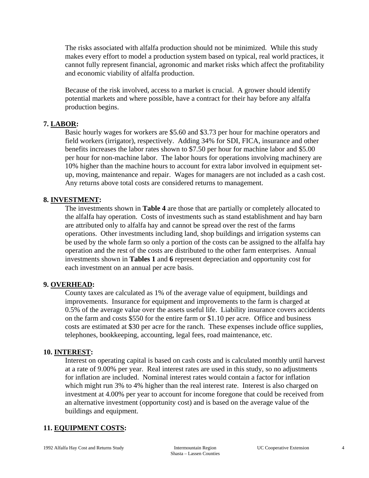The risks associated with alfalfa production should not be minimized. While this study makes every effort to model a production system based on typical, real world practices, it cannot fully represent financial, agronomic and market risks which affect the profitability and economic viability of alfalfa production.

 Because of the risk involved, access to a market is crucial. A grower should identify potential markets and where possible, have a contract for their hay before any alfalfa production begins.

## **7. LABOR:**

 Basic hourly wages for workers are \$5.60 and \$3.73 per hour for machine operators and field workers (irrigator), respectively. Adding 34% for SDI, FICA, insurance and other benefits increases the labor rates shown to \$7.50 per hour for machine labor and \$5.00 per hour for non-machine labor. The labor hours for operations involving machinery are 10% higher than the machine hours to account for extra labor involved in equipment setup, moving, maintenance and repair. Wages for managers are not included as a cash cost. Any returns above total costs are considered returns to management.

## **8. INVESTMENT:**

The investments shown in **Table 4** are those that are partially or completely allocated to the alfalfa hay operation. Costs of investments such as stand establishment and hay barn are attributed only to alfalfa hay and cannot be spread over the rest of the farms operations. Other investments including land, shop buildings and irrigation systems can be used by the whole farm so only a portion of the costs can be assigned to the alfalfa hay operation and the rest of the costs are distributed to the other farm enterprises. Annual investments shown in **Tables 1** and **6** represent depreciation and opportunity cost for each investment on an annual per acre basis.

## **9. OVERHEAD:**

 County taxes are calculated as 1% of the average value of equipment, buildings and improvements. Insurance for equipment and improvements to the farm is charged at 0.5% of the average value over the assets useful life. Liability insurance covers accidents on the farm and costs \$550 for the entire farm or \$1.10 per acre. Office and business costs are estimated at \$30 per acre for the ranch. These expenses include office supplies, telephones, bookkeeping, accounting, legal fees, road maintenance, etc.

## **10. INTEREST:**

 Interest on operating capital is based on cash costs and is calculated monthly until harvest at a rate of 9.00% per year. Real interest rates are used in this study, so no adjustments for inflation are included. Nominal interest rates would contain a factor for inflation which might run 3% to 4% higher than the real interest rate. Interest is also charged on investment at 4.00% per year to account for income foregone that could be received from an alternative investment (opportunity cost) and is based on the average value of the buildings and equipment.

## **11. EQUIPMENT COSTS:**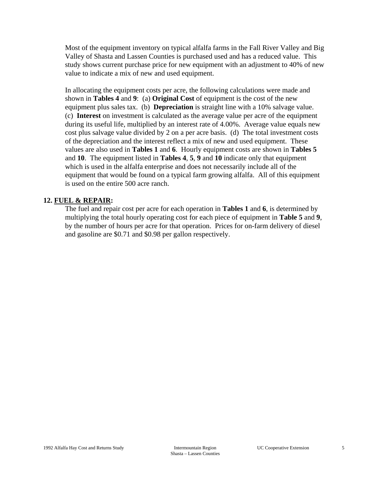Most of the equipment inventory on typical alfalfa farms in the Fall River Valley and Big Valley of Shasta and Lassen Counties is purchased used and has a reduced value. This study shows current purchase price for new equipment with an adjustment to 40% of new value to indicate a mix of new and used equipment.

 In allocating the equipment costs per acre, the following calculations were made and shown in **Tables 4** and **9**: (a) **Original Cost** of equipment is the cost of the new equipment plus sales tax. (b) **Depreciation** is straight line with a 10% salvage value. (c) **Interest** on investment is calculated as the average value per acre of the equipment during its useful life, multiplied by an interest rate of 4.00%. Average value equals new cost plus salvage value divided by 2 on a per acre basis. (d) The total investment costs of the depreciation and the interest reflect a mix of new and used equipment. These values are also used in **Tables 1** and **6**. Hourly equipment costs are shown in **Tables 5** and **10**. The equipment listed in **Tables 4**, **5**, **9** and **10** indicate only that equipment which is used in the alfalfa enterprise and does not necessarily include all of the equipment that would be found on a typical farm growing alfalfa. All of this equipment is used on the entire 500 acre ranch.

## **12. FUEL & REPAIR:**

 The fuel and repair cost per acre for each operation in **Tables 1** and **6**, is determined by multiplying the total hourly operating cost for each piece of equipment in **Table 5** and **9**, by the number of hours per acre for that operation. Prices for on-farm delivery of diesel and gasoline are \$0.71 and \$0.98 per gallon respectively.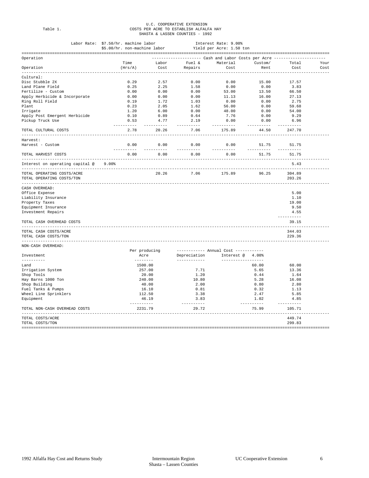| ۰.<br>۰.<br>-<br>×<br>.<br>× |  |
|------------------------------|--|
|------------------------------|--|

# U.C. COOPERATIVE EXTENSION<br>Table 1. COSTS PER ACRE TO ESTABLISH ALFALFA HAY<br>SHASTA & LASSEN COUNTIES - 1992

|                                    | Labor Rate: \$7.50/hr. machine labor |                  |                                                                              | Interest Rate: 9.00%                 |                     |                     |      |
|------------------------------------|--------------------------------------|------------------|------------------------------------------------------------------------------|--------------------------------------|---------------------|---------------------|------|
|                                    | \$5.00/hr. non-machine labor         |                  |                                                                              | Yield per Acre: 1.50 ton             |                     |                     |      |
| Operation                          |                                      |                  | --------------------        Cash and Labor Costs per Acre ------------------ |                                      |                     |                     |      |
|                                    | Time                                 | Labor            | Fuel &                                                                       | Material                             | Custom/             | Total               | Your |
| Operation                          | (Hrs/A)                              | Cost             | Repairs                                                                      | Cost                                 | Rent                | Cost                | Cost |
| <u>udududud</u><br>Cultural:       |                                      |                  |                                                                              |                                      |                     |                     |      |
| Disc Stubble 2X                    | 0.29                                 | 2.57             | 0.00                                                                         | 0.00                                 | 15.00               | 17.57               |      |
| Land Plane Field                   | 0.25                                 | 2.25             | 1.58                                                                         | 0.00                                 | 0.00                | 3.83                |      |
| Fertilize - Custom                 | 0.00                                 | 0.00             | 0.00                                                                         | 53.00                                | 13.50               | 66.50               |      |
| Apply Herbicide & Incorporate      | 0.00                                 | 0.00             | 0.00                                                                         | 11.13                                | 16.00               | 27.13               |      |
| Ring Roll Field                    | 0.19                                 | 1.72             | 1.03                                                                         | 0.00                                 | 0.00                | 2.75                |      |
| Plant                              | 0.23                                 | 2.05             | 1.62                                                                         | 56.00                                | 0.00                | 59.68               |      |
| Irrigate                           | 1.20                                 | 6.00             | 0.00                                                                         | 48.00                                | 0.00                | 54.00               |      |
| Apply Post Emergent Herbicide      | 0.10                                 | 0.89             | 0.64                                                                         | 7.76                                 | 0.00                | 9.29                |      |
| Pickup Truck Use                   | 0.53                                 | 4.77             | 2.19<br>-------                                                              | 0.00                                 | 0.00                | 6.96<br>------      |      |
| TOTAL CULTURAL COSTS               | ----------<br>2.78                   | -------<br>20.26 | 7.06                                                                         | --------<br>175.89                   | ---------<br>44.50  | 247.70              |      |
| Harvest:                           |                                      |                  |                                                                              |                                      |                     |                     |      |
| Harvest - Custom                   | 0.00<br>----------                   | 0.00<br>-------  | 0.00<br>--------                                                             | 0.00<br>---------                    | 51.75<br>---------- | 51.75<br>---------  |      |
| TOTAL HARVEST COSTS                | 0.00                                 | 0.00             | 0.00                                                                         | 0.00                                 | 51.75               | 51.75               |      |
| Interest on operating capital @    | $9.00$ <sup>8</sup>                  |                  |                                                                              |                                      |                     | 5.43                |      |
| TOTAL OPERATING COSTS/ACRE         |                                      | 20.26            | 7.06                                                                         | 175.89                               | 96.25               | 304.89              |      |
| TOTAL OPERATING COSTS/TON          |                                      |                  |                                                                              |                                      |                     | 203.26              |      |
| CASH OVERHEAD:                     |                                      |                  |                                                                              |                                      |                     |                     |      |
| Office Expense                     |                                      |                  |                                                                              |                                      |                     | 5.00                |      |
| Liability Insurance                |                                      |                  |                                                                              |                                      |                     | 1.10                |      |
| Property Taxes                     |                                      |                  |                                                                              |                                      |                     | 19.00               |      |
| Equipment Insurance                |                                      |                  |                                                                              |                                      |                     | 9.50                |      |
| Investment Repairs                 |                                      |                  |                                                                              |                                      |                     | 4.55                |      |
| TOTAL CASH OVERHEAD COSTS          |                                      |                  |                                                                              |                                      |                     | ----------<br>39.15 |      |
| TOTAL CASH COSTS/ACRE              |                                      |                  |                                                                              |                                      |                     | 344.03              |      |
| TOTAL CASH COSTS/TON               |                                      |                  |                                                                              |                                      |                     | 229.36              |      |
| NON-CASH OVERHEAD:                 |                                      |                  |                                                                              |                                      |                     |                     |      |
|                                    | Per producing                        |                  |                                                                              | ----------- Annual Cost ------------ |                     |                     |      |
| Investment                         | Acre                                 |                  | Depreciation                                                                 | Interest @ 4.00%                     |                     |                     |      |
| ----------                         | --------                             |                  | ------------                                                                 | ------------------                   |                     |                     |      |
| Land                               | 1500.00                              |                  |                                                                              |                                      | 60.00               | 60.00               |      |
| Irrigation System                  |                                      | 257.00           | 7.71                                                                         |                                      | 5.65                | 13.36               |      |
| Shop Tools                         |                                      | 20.00            | 1.20                                                                         |                                      | 0.44                | 1.64                |      |
| Hay Barns 1000 Ton                 |                                      | 240.00           | 10.80                                                                        |                                      | 5.28                | 16.08               |      |
| Shop Building                      |                                      | 40.00            | 2.00                                                                         |                                      | 0.80                | 2.80                |      |
| Fuel Tanks & Pumps                 |                                      | 16.10            | 0.81                                                                         |                                      | 0.32                | 1.13                |      |
| Wheel Line Sprinklers<br>Equipment | 112.50                               | 46.19            | 3.38<br>3.83                                                                 |                                      | 2.47<br>1.02        | 5.85<br>4.85        |      |
|                                    |                                      |                  | ----------                                                                   |                                      | ----------          | ----------          |      |
| TOTAL NON-CASH OVERHEAD COSTS      | 2231.79                              |                  | 29.72                                                                        |                                      | 75.99               | 105.71              |      |
| TOTAL COSTS/ACRE                   |                                      |                  |                                                                              |                                      |                     | 449.74              |      |
| TOTAL COSTS/TON                    |                                      |                  |                                                                              |                                      |                     | 299.83              |      |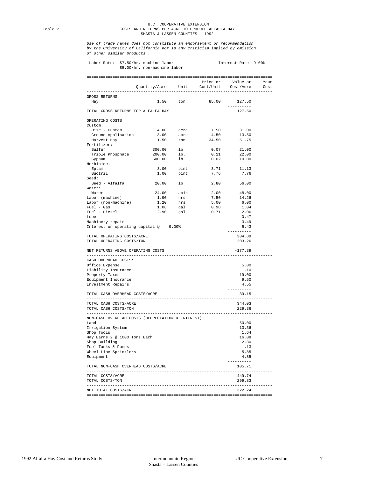### U.C. COOPERATIVE EXTENSION Table 2. COSTS AND RETURNS PER ACRE TO PRODUCE ALFALFA HAY SHASTA & LASSEN COUNTIES - 1992

*Use of trade names does not constitute an endorsement or recommendation by the University of California nor is any criticism implied by omission of other similar products .* 

|                                                    |                                             |           |                       | Price or Value or Your |  |
|----------------------------------------------------|---------------------------------------------|-----------|-----------------------|------------------------|--|
|                                                    | Quantity/Acre Unit Cost/Unit Cost/Acre Cost |           |                       |                        |  |
| GROSS RETURNS                                      |                                             |           |                       |                        |  |
| Hay                                                |                                             |           | 1.50 ton 85.00 127.50 |                        |  |
|                                                    |                                             |           |                       | ----------             |  |
| TOTAL GROSS RETURNS FOR ALFALFA HAY                |                                             |           |                       | 127.50                 |  |
| OPERATING COSTS                                    |                                             |           |                       |                        |  |
| Custom:                                            |                                             |           |                       |                        |  |
| Disc - Custom                                      |                                             | 4.00 acre | 7.50                  | 31.00                  |  |
| Ground Application                                 |                                             | 3.00 acre | 4.50                  | 13.50                  |  |
| Harvest Hay<br>Fertilizer:                         |                                             | 1.50 ton  | 34.50                 | 51.75                  |  |
| Sulfur                                             | 300.00 lb                                   |           |                       | $0.07$ 21.00           |  |
|                                                    | 200.00                                      | lb.       | 0.11                  | 22.00                  |  |
| Triple Phosphate<br>Gypsum                         | 500.00 lb.                                  |           |                       | $0.02$ 10.00           |  |
| Herbicide:                                         |                                             |           |                       |                        |  |
| Eptam                                              |                                             |           | 3.71                  | 11.13                  |  |
| Buctril                                            |                                             | 3.00 pint | 1.00 pint 7.76        | 7.76                   |  |
| Seed:                                              |                                             |           |                       |                        |  |
| Seed - Alfalfa                                     | 20.00                                       | lb        | 2.80                  | 56.00                  |  |
| Water:                                             |                                             |           |                       |                        |  |
| Water                                              | 24.00 acin                                  |           |                       | 2.00 48.00             |  |
| Labor (machine)                                    | 1.90                                        | hrs       | 7.50                  | 14.26                  |  |
| Labor (non-machine)                                |                                             | 1.20 hrs  | 5.00                  | 6.00                   |  |
| Fuel - Gas                                         |                                             | 1.06 gal  | 0.98                  | 1.04                   |  |
| Fuel - Diesel                                      | 2.90                                        | gal       | 0.71                  | 2.06                   |  |
| Lube                                               |                                             |           |                       | 0.47                   |  |
| Machinery repair                                   |                                             |           |                       | 3.49                   |  |
|                                                    |                                             |           |                       |                        |  |
|                                                    |                                             |           |                       | 5.43                   |  |
|                                                    | Interest on operating capital @ 9.00%       |           |                       | ----------             |  |
| TOTAL OPERATING COSTS/ACRE                         |                                             |           |                       | 304.89                 |  |
| TOTAL OPERATING COSTS/TON                          |                                             |           |                       | 203.26                 |  |
| NET RETURNS ABOVE OPERATING COSTS                  |                                             |           |                       | $-177.39$              |  |
|                                                    |                                             |           |                       |                        |  |
| CASH OVERHEAD COSTS:                               |                                             |           |                       |                        |  |
| Office Expense                                     |                                             |           |                       | 5.00                   |  |
| Liability Insurance                                |                                             |           |                       | 1.10                   |  |
| Property Taxes                                     |                                             |           |                       | 19.00                  |  |
| Equipment Insurance                                |                                             |           |                       | 9.50                   |  |
| Investment Repairs                                 |                                             |           |                       | 4.55<br>----------     |  |
| TOTAL CASH OVERHEAD COSTS/ACRE                     |                                             |           |                       | 39.15                  |  |
| TOTAL CASH COSTS/ACRE                              |                                             |           |                       | 344.03                 |  |
| TOTAL CASH COSTS/TON                               |                                             |           |                       | 229.36                 |  |
|                                                    |                                             |           |                       |                        |  |
| NON-CASH OVERHEAD COSTS (DEPRECIATION & INTEREST): |                                             |           |                       | 60.00                  |  |
| Land                                               |                                             |           |                       |                        |  |
| Irrigation System                                  |                                             |           |                       | 13.36                  |  |
| Shop Tools                                         |                                             |           |                       | 1.64<br>16.08          |  |
| Hay Barns 2 @ 1000 Tons Each                       |                                             |           |                       |                        |  |
| Shop Building                                      |                                             |           |                       | 2.80<br>1.13           |  |
| Fuel Tanks & Pumps<br>Wheel Line Sprinklers        |                                             |           |                       | 5.85                   |  |
| Equipment                                          |                                             |           |                       | 4.85                   |  |
| TOTAL NON-CASH OVERHEAD COSTS/ACRE                 |                                             |           |                       | ----------<br>105.71   |  |
|                                                    |                                             |           |                       |                        |  |
| TOTAL COSTS/ACRE<br>TOTAL COSTS/TON                |                                             |           |                       | 449.74<br>299.83       |  |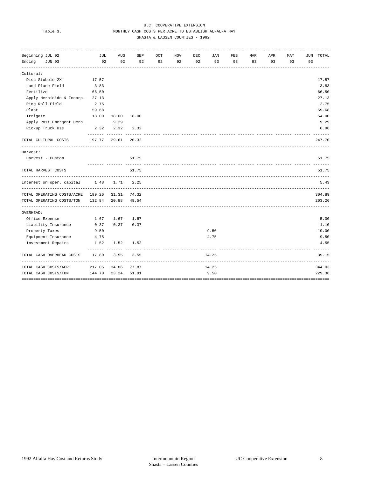### U.C. COOPERATIVE EXTENSION<br>
WONTHIV CASH COSTS REP ACE TO ESTABLISE MONTHLY CASH COSTS PER ACRE TO ESTABLISH ALFALFA HAY SHASTA & LASSEN COUNTIES - 1992

| -------------------------------------- |                                                                                                                                           |               |                                                                   |            |            |      |                                                       |     |     |     |            |                  |
|----------------------------------------|-------------------------------------------------------------------------------------------------------------------------------------------|---------------|-------------------------------------------------------------------|------------|------------|------|-------------------------------------------------------|-----|-----|-----|------------|------------------|
| JUL                                    | AUG                                                                                                                                       | SEP           | OCT                                                               | <b>NOV</b> | <b>DEC</b> | JAN  | FEB                                                   | MAR | APR | MAY | <b>JUN</b> | TOTAL            |
|                                        |                                                                                                                                           | 92            | 92                                                                | 92         | 92         | 93   | 93                                                    | 93  | 93  | 93  | 93         |                  |
|                                        |                                                                                                                                           |               |                                                                   |            |            |      |                                                       |     |     |     |            |                  |
|                                        |                                                                                                                                           |               |                                                                   |            |            |      |                                                       |     |     |     |            | 17.57            |
|                                        |                                                                                                                                           |               |                                                                   |            |            |      |                                                       |     |     |     |            | 3.83             |
|                                        |                                                                                                                                           |               |                                                                   |            |            |      |                                                       |     |     |     |            | 66.50            |
|                                        |                                                                                                                                           |               |                                                                   |            |            |      |                                                       |     |     |     |            | 27.13            |
| 2.75                                   |                                                                                                                                           |               |                                                                   |            |            |      |                                                       |     |     |     |            | 2.75             |
| 59.68                                  |                                                                                                                                           |               |                                                                   |            |            |      |                                                       |     |     |     |            | 59.68            |
| 18.00                                  | 18.00                                                                                                                                     | 18.00         |                                                                   |            |            |      |                                                       |     |     |     |            | 54.00            |
|                                        | 9.29                                                                                                                                      |               |                                                                   |            |            |      |                                                       |     |     |     |            | 9.29             |
| 2.32                                   | 2.32                                                                                                                                      | 2.32          |                                                                   |            |            |      |                                                       |     |     |     |            | 6.96<br>-------- |
| 197.77                                 | 29.61                                                                                                                                     | 20.32         |                                                                   |            |            |      |                                                       |     |     |     |            | 247.70           |
|                                        |                                                                                                                                           |               |                                                                   |            |            |      |                                                       |     |     |     |            |                  |
|                                        |                                                                                                                                           | 51.75         |                                                                   |            |            |      |                                                       |     |     |     |            | 51.75            |
|                                        |                                                                                                                                           | 51.75         |                                                                   |            |            |      |                                                       |     |     |     |            | 51.75            |
| 1.48                                   | 1.71                                                                                                                                      | 2.25          |                                                                   |            |            |      |                                                       |     |     |     |            | 5.43             |
|                                        | 31.31                                                                                                                                     | 74.32         |                                                                   |            |            |      |                                                       |     |     |     |            | 304.89           |
| 132.84                                 | 20.88                                                                                                                                     | 49.54         |                                                                   |            |            |      |                                                       |     |     |     |            | 203.26           |
|                                        |                                                                                                                                           |               |                                                                   |            |            |      |                                                       |     |     |     |            |                  |
| 1.67                                   | 1.67                                                                                                                                      | 1.67          |                                                                   |            |            |      |                                                       |     |     |     |            | 5.00             |
| 0.37                                   | 0.37                                                                                                                                      | 0.37          |                                                                   |            |            |      |                                                       |     |     |     |            | 1.10             |
| 9.50                                   |                                                                                                                                           |               |                                                                   |            |            | 9.50 |                                                       |     |     |     |            | 19.00            |
| 4.75                                   |                                                                                                                                           |               |                                                                   |            |            | 4.75 |                                                       |     |     |     |            | 9.50             |
| 1.52                                   | 1.52                                                                                                                                      | 1.52          |                                                                   |            |            |      |                                                       |     |     |     |            | 4.55             |
| 17.80                                  | 3.55                                                                                                                                      | 3.55          |                                                                   |            |            |      |                                                       |     |     |     |            | 39.15            |
| 217.05                                 | 34.86                                                                                                                                     | 77.87         |                                                                   |            |            |      |                                                       |     |     |     |            | 344.03           |
| 144.70                                 | 23.24                                                                                                                                     | 51.91         |                                                                   |            |            | 9.50 |                                                       |     |     |     |            | 229.36           |
|                                        | 17.57<br>3.83<br>66.50<br>Apply Herbicide & Incorp. 27.13<br>Apply Post Emergent Herb.<br>--------<br>Interest on oper. capital<br>199.26 | 92<br>------- | 92<br>_________________________________<br><u>------- -------</u> |            |            |      | ___________________________________<br>14.25<br>14.25 |     |     |     |            | ---- -------     |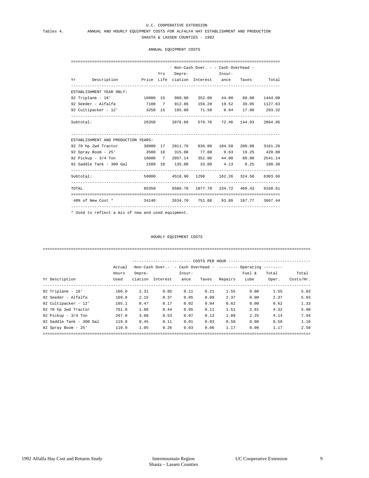### U.C. COOPERATIVE EXTENSION<br>Tables 4. ANNUAL AND HOURLY EQUIPMENT COSTS FOR ALFALFA HAY ES ANNUAL AND HOURLY EQUIPMENT COSTS FOR ALFALFA HAY ESTABLISHMENT AND PRODUCTION SHASTA & LASSEN COUNTIES - 1992

ANNUAL EQUIPMENT COSTS

|                                                                     |  | - Non-Cash Over. - - Cash Overhead -        |  |  |
|---------------------------------------------------------------------|--|---------------------------------------------|--|--|
|                                                                     |  | Yrs Depre- Insur-                           |  |  |
| Yr Description Price Life ciation Interest ance Taxes Total         |  |                                             |  |  |
| ESTABLISHMENT YEAR ONLY:                                            |  |                                             |  |  |
|                                                                     |  |                                             |  |  |
| 92 Seeder - Alfalfa (1971) 7100 7 912.86 156.20 19.52 39.05 1127.63 |  |                                             |  |  |
| 92 Cultipacker - 12' 3250 15 195.00 71.50 8.94 17.88 293.32         |  |                                             |  |  |
| Subtotal:                                                           |  | 26350 2076.86 579.70 72.46 144.93 2864.95   |  |  |
| ESTABLISHMENT AND PRODUCTION YEARS:                                 |  |                                             |  |  |
| 92 70 hp 2wd Tractor 38000 17 2011.76 836.00 104.50 209.00 3161.26  |  |                                             |  |  |
| 92 Spray Boom - 25' 3500 10 315.00 77.00 9.63 19.25 420.88          |  |                                             |  |  |
| 92 Pickup - 3/4 Ton 16000 7 2057.14 352.00 44.00 88.00 2541.14      |  |                                             |  |  |
| 92 Saddle Tank - 300 Gal (1500 10 135.00 33.00 4.13 8.25 180.38     |  |                                             |  |  |
| Subtotal:                                                           |  | 59000 4518.90 1298 162.26 324.50 6303.66    |  |  |
|                                                                     |  |                                             |  |  |
| TOTAL                                                               |  | 85350 6586.76 1877.70 234.72 469.43 9168.61 |  |  |

\* Used to reflect a mix of new and used equipment.

### HOURLY EQUIPMENT COSTS

==================================================================================================================

|                          | Actual |        | $-Non-Cash Over. - cash Over. - Cash Overhead - --- Over.$ |        |       |         |        |       |           |
|--------------------------|--------|--------|------------------------------------------------------------|--------|-------|---------|--------|-------|-----------|
|                          | Hours  | Depre- |                                                            | Insur- |       |         | Fuel & | Total |           |
| Yr Description           | Used   |        | ciation Interest                                           | ance   | Taxes | Repairs | Lube   | Oper. | Costs/Hr. |
| 92 Triplane - $16'$      | 166.0  | 2.31   | 0.85                                                       | 0.11   | 0.21  | 1.55    | 0.00   | 1.55  |           |
| 92 Seeder - Alfalfa      | 169.8  | 2.15   | 0.37                                                       | 0.05   | 0.09  | 2.37    | 0.00   | 2.37  |           |
| 92 Cultipacker - 12'     | 165.1  | 0.47   | 0.17                                                       | 0.02   | 0.04  | 0.62    | 0.00   | 0.62  |           |
| 92 70 hp 2wd Tractor     | 761.0  | 1.06   | 0.44                                                       | 0.05   | 0.11  | 1.51    | 2.81   | 4.32  |           |
| 92 Pickup - $3/4$ Ton    | 267.0  | 3.08   | 0.53                                                       | 0.07   | 0.13  | 1.89    | 2.25   | 4.14  |           |
| 92 Saddle Tank - 300 Gal | 119.9  | 0.45   | 0.11                                                       | 0.01   | 0.03  | 0.50    | 0.00   | 0.50  |           |
| 92 Spray Boom - 25'      | 119.9  | 1.05   | 0.26                                                       | 0.03   | 0.06  | 1.17    | 0.00   | 1.17  |           |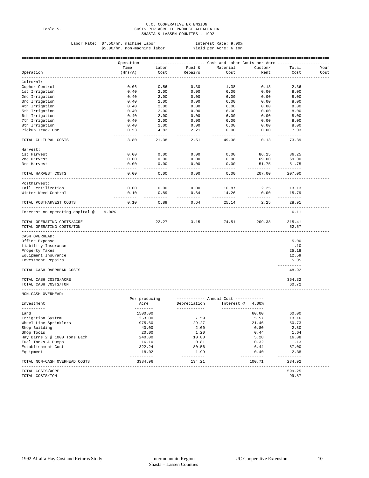## U.C. COOPERATIVE EXTENSION Table 5. COSTS PER ACRE TO PRODUCE ALFALFA HA SHASTA & LASSEN COUNTIES - 1992

| Labor Rate: \$7.50/hr. machine labor | Interest Rate: 9.00%  |
|--------------------------------------|-----------------------|
| \$5.00/hr. non-machine labor         | Yield per Acre: 6 ton |

|                                                         | Operation             |                     |                                                                                                         |                                      |                      |                       |      |
|---------------------------------------------------------|-----------------------|---------------------|---------------------------------------------------------------------------------------------------------|--------------------------------------|----------------------|-----------------------|------|
|                                                         | Time                  | Labor               | Fuel &                                                                                                  | Material                             | Custom/              | Total                 | Your |
| Operation                                               | (Hrs/A)               | Cost                | Repairs                                                                                                 | Cost                                 | Rent                 | Cost                  | Cost |
| --------<br>Cultural:                                   |                       |                     |                                                                                                         |                                      |                      |                       |      |
| Gopher Control                                          | 0.06                  | 0.56                | 0.30                                                                                                    | 1.38                                 | 0.13                 | 2.36                  |      |
| 1st Irrigation                                          | 0.40                  | 2.00                | 0.00                                                                                                    | 6.00                                 | 0.00                 | 8.00                  |      |
| 2nd Irrigation                                          | 0.40                  | 2.00                | 0.00                                                                                                    | 6.00                                 | 0.00                 | 8.00                  |      |
|                                                         |                       |                     |                                                                                                         |                                      |                      |                       |      |
| 3rd Irrigation                                          | 0.40                  | 2.00                | 0.00                                                                                                    | 6.00                                 | 0.00                 | 8.00                  |      |
| 4th Irrigation                                          | 0.40                  | 2.00                | 0.00                                                                                                    | 6.00                                 | 0.00                 | 8.00                  |      |
| 5th Irrigation                                          | 0.40                  | 2.00                | 0.00                                                                                                    | 6.00                                 | 0.00                 | 8.00                  |      |
| 6th Irrigation                                          | 0.40                  | 2.00                | 0.00                                                                                                    | 6.00                                 | 0.00                 | 8.00                  |      |
| 7th Irrigation                                          | 0.40                  | 2.00                | 0.00                                                                                                    | 6.00                                 | 0.00                 | 8.00                  |      |
| 8th Irrigation                                          | 0.40                  | 2.00                | 0.00                                                                                                    | 6.00                                 | 0.00                 | 8.00                  |      |
| Pickup Truck Use                                        | 0.53<br>----------    | 4.82<br>.           | 2.21<br>--------                                                                                        | 0.00<br>-------                      | 0.00<br>---------    | 7.03<br>$- - - - - -$ |      |
| TOTAL CULTURAL COSTS                                    | 3.80                  | 21.38               | 2.51                                                                                                    | 49.38                                | 0.13                 | 73.39                 |      |
| Harvest:                                                |                       |                     |                                                                                                         |                                      |                      |                       |      |
| 1st Harvest                                             | 0.00                  | 0.00                | 0.00                                                                                                    | 0.00                                 | 86.25                | 86.25                 |      |
| 2nd Harvest                                             | 0.00                  | 0.00                | 0.00                                                                                                    | 0.00                                 | 69.00                | 69.00                 |      |
| 3rd Harvest                                             | 0.00                  | 0.00                | 0.00                                                                                                    | 0.00                                 | 51.75                | 51.75                 |      |
|                                                         | ----------            | $- - - - -$         | -------                                                                                                 | ----------                           | .                    | ----------            |      |
| TOTAL HARVEST COSTS                                     | 0.00                  | 0.00                | 0.00                                                                                                    | 0.00                                 | 207.00               | 207.00                |      |
| Postharvest:                                            |                       |                     |                                                                                                         |                                      |                      |                       |      |
| Fall Fertilization                                      | 0.00                  | 0.00                | 0.00                                                                                                    | 10.87                                | 2.25                 | 13.13                 |      |
| Winter Weed Control                                     | 0.10                  | 0.89                | 0.64                                                                                                    | 14.26<br>----------                  | 0.00                 | 15.79                 |      |
| TOTAL POSTHARVEST COSTS                                 | ---------<br>0.10     | $- - - - -$<br>0.89 | --------<br>0.64                                                                                        | 25.14                                | ---------<br>2.25    | ---------<br>28.91    |      |
| $9.00$ <sup>\$</sup><br>Interest on operating capital @ |                       |                     |                                                                                                         |                                      |                      | 6.11                  |      |
| TOTAL OPERATING COSTS/ACRE<br>TOTAL OPERATING COSTS/TON |                       | 22.27               | 3.15                                                                                                    | 74.51                                | 209.38               | 315.41<br>52.57       |      |
|                                                         |                       |                     |                                                                                                         |                                      |                      |                       |      |
| CASH OVERHEAD:                                          |                       |                     |                                                                                                         |                                      |                      |                       |      |
| Office Expense                                          |                       |                     |                                                                                                         |                                      |                      | 5.00                  |      |
| Liability Insurance                                     |                       |                     |                                                                                                         |                                      |                      | 1.10                  |      |
| Property Taxes                                          |                       |                     |                                                                                                         |                                      |                      | 25.18                 |      |
| Equipment Insurance                                     |                       |                     |                                                                                                         |                                      |                      | 12.59                 |      |
| Investment Repairs                                      |                       |                     |                                                                                                         |                                      |                      | 5.05                  |      |
|                                                         |                       |                     |                                                                                                         |                                      |                      | ----------            |      |
| TOTAL CASH OVERHEAD COSTS                               |                       |                     |                                                                                                         |                                      |                      | 48.92                 |      |
| TOTAL CASH COSTS/ACRE                                   |                       |                     |                                                                                                         |                                      |                      | 364.32                |      |
| TOTAL CASH COSTS/TON                                    |                       |                     |                                                                                                         |                                      |                      | 60.72                 |      |
| NON-CASH OVERHEAD:                                      |                       |                     |                                                                                                         |                                      |                      |                       |      |
|                                                         | Per producing         |                     |                                                                                                         | ----------- Annual Cost ------------ |                      |                       |      |
| Investment                                              | Acre                  |                     | Depreciation                                                                                            | Interest $@ 4.00$ <sup>2</sup>       |                      |                       |      |
| --------<br>Land                                        | --------<br>1500.00   |                     |                                                                                                         |                                      | ---------<br>60.00   | 60.00                 |      |
| Irrigation System                                       | 253.00                |                     | 7.59                                                                                                    |                                      | 5.57                 | 13.16                 |      |
|                                                         |                       |                     | 29.27                                                                                                   |                                      | 21.46                | 50.73                 |      |
| Wheel Line Sprinklers                                   | 975.60                |                     |                                                                                                         |                                      |                      |                       |      |
| Shop Building                                           |                       | 40.00               | 2.00                                                                                                    |                                      | 0.80                 | 2.80                  |      |
| Shop Tools                                              | 20.00                 |                     | 1.20                                                                                                    |                                      | 0.44                 | 1.64                  |      |
| Hay Barns 2 @ 1000 Tons Each                            | 240.00                |                     | 10.80                                                                                                   |                                      | 5.28                 | 16.08                 |      |
| Fuel Tanks & Pumps                                      | 16.10                 |                     | 0.81                                                                                                    |                                      | 0.32                 | 1.13                  |      |
| Establishment Cost                                      | 322.24                |                     | 80.56                                                                                                   |                                      | 6.44                 | 87.00                 |      |
| Equipment                                               | 18.02                 |                     | 1.99                                                                                                    |                                      | 0.40                 | 2.38                  |      |
| TOTAL NON-CASH OVERHEAD COSTS                           | ----------<br>3384.96 |                     | $\begin{array}{cccccccccc} \dots & \dots & \dots & \dots & \dots & \dots & \dots \end{array}$<br>134.21 |                                      | ----------<br>100.71 | -----------<br>234.92 |      |
| TOTAL COSTS/ACRE                                        |                       |                     |                                                                                                         |                                      |                      | 599.25                |      |
| TOTAL COSTS/TON                                         |                       |                     |                                                                                                         |                                      |                      | 99.87                 |      |
|                                                         |                       |                     |                                                                                                         |                                      |                      |                       |      |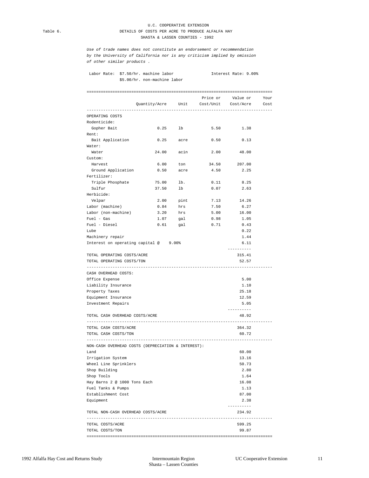### U.C. COOPERATIVE EXTENSION Table 6. DETAILS OF COSTS PER ACRE TO PRODUCE ALFALFA HAY SHASTA & LASSEN COUNTIES - 1992

*Use of trade names does not constitute an endorsement or recommendation by the University of California nor is any criticism implied by omission of other similar products .* 

Labor Rate: \$7.50/hr. machine labor **Interest Rate: 9.00%** \$5.00/hr. non-machine labor

|                                                    |                                             |                         | Price or Value or Your      |                                                                                                                                                                |
|----------------------------------------------------|---------------------------------------------|-------------------------|-----------------------------|----------------------------------------------------------------------------------------------------------------------------------------------------------------|
|                                                    | Quantity/Acre Unit Cost/Unit Cost/Acre Cost |                         |                             |                                                                                                                                                                |
| OPERATING COSTS                                    |                                             |                         |                             |                                                                                                                                                                |
| Rodenticide:                                       |                                             |                         |                             |                                                                                                                                                                |
| Gopher Bait                                        | 0.25                                        | lb                      | 5.50                        | 1.38                                                                                                                                                           |
| Rent:                                              |                                             |                         |                             |                                                                                                                                                                |
| Bait Application                                   | 0.25                                        | acre                    | 0.50                        | 0.13                                                                                                                                                           |
| Water:                                             |                                             |                         |                             |                                                                                                                                                                |
| Water                                              | 24.00                                       | acin                    |                             | 2.00 48.00                                                                                                                                                     |
| Custom:                                            |                                             |                         |                             |                                                                                                                                                                |
| Harvest                                            | 6.00                                        | ton                     | 34.50                       | 207.00                                                                                                                                                         |
| Ground Application                                 | 0.50                                        | acre                    | 4.50                        | 2.25                                                                                                                                                           |
| Fertilizer:                                        |                                             |                         |                             |                                                                                                                                                                |
| Triple Phosphate                                   | 75.00                                       | lb.                     | 0.11                        | 8.25                                                                                                                                                           |
| Sulfur                                             | 37.50                                       | lb                      | 0.07                        | 2.63                                                                                                                                                           |
| Herbicide:                                         |                                             |                         |                             |                                                                                                                                                                |
| Velpar                                             | 2.00                                        | pint                    | 7.13                        | 14.26                                                                                                                                                          |
| Labor (machine)                                    | 0.84                                        | hrs                     | 7.50                        | 6.27                                                                                                                                                           |
| Labor (non-machine)                                | 3.20                                        | hrs                     | 5.00                        | 16.00                                                                                                                                                          |
| $Fuel - Gas$                                       | 1.07                                        | gal                     | 0.98                        | 1.05                                                                                                                                                           |
| Fuel - Diesel                                      | 0.61                                        | gal                     | 0.71                        | 0.43                                                                                                                                                           |
| Lube                                               |                                             |                         |                             | 0.22                                                                                                                                                           |
| Machinery repair                                   |                                             |                         |                             | 1.44                                                                                                                                                           |
| Interest on operating capital @ 9.00%              |                                             |                         |                             | 6.11                                                                                                                                                           |
|                                                    |                                             |                         |                             | ---------                                                                                                                                                      |
| TOTAL OPERATING COSTS/ACRE                         |                                             |                         |                             | 315.41                                                                                                                                                         |
| TOTAL OPERATING COSTS/TON<br>--------------------  |                                             | ----------------------- |                             | 52.57                                                                                                                                                          |
| CASH OVERHEAD COSTS:                               |                                             |                         |                             |                                                                                                                                                                |
| Office Expense                                     |                                             |                         |                             | 5.00                                                                                                                                                           |
| Liability Insurance                                |                                             |                         |                             | 1.10                                                                                                                                                           |
|                                                    |                                             |                         |                             |                                                                                                                                                                |
| Property Taxes                                     |                                             |                         |                             |                                                                                                                                                                |
| Equipment Insurance                                |                                             |                         |                             |                                                                                                                                                                |
| Investment Repairs                                 |                                             |                         |                             |                                                                                                                                                                |
| TOTAL CASH OVERHEAD COSTS/ACRE                     |                                             |                         |                             |                                                                                                                                                                |
| -------------------------                          |                                             |                         | --------------------------- |                                                                                                                                                                |
| TOTAL CASH COSTS/ACRE                              |                                             |                         |                             |                                                                                                                                                                |
| TOTAL CASH COSTS/TON                               |                                             |                         |                             |                                                                                                                                                                |
| NON-CASH OVERHEAD COSTS (DEPRECIATION & INTEREST): |                                             |                         |                             |                                                                                                                                                                |
| Land                                               |                                             |                         |                             |                                                                                                                                                                |
| Irrigation System                                  |                                             |                         |                             |                                                                                                                                                                |
| Wheel Line Sprinklers                              |                                             |                         |                             |                                                                                                                                                                |
| Shop Building                                      |                                             |                         |                             |                                                                                                                                                                |
| Shop Tools                                         |                                             |                         |                             |                                                                                                                                                                |
| Hay Barns 2 @ 1000 Tons Each                       |                                             |                         |                             |                                                                                                                                                                |
| Fuel Tanks & Pumps                                 |                                             |                         |                             |                                                                                                                                                                |
| Establishment Cost                                 |                                             |                         |                             |                                                                                                                                                                |
| Equipment                                          |                                             |                         |                             | 25.18<br>12.59<br>5.05<br>---------<br>48.92<br>--------------<br>364.32<br>60.72<br>60.00<br>13.16<br>50.73<br>2.80<br>1.64<br>16.08<br>1.13<br>87.00<br>2.38 |
|                                                    |                                             |                         |                             |                                                                                                                                                                |
| TOTAL NON-CASH OVERHEAD COSTS/ACRE                 |                                             |                         |                             |                                                                                                                                                                |
| TOTAL COSTS/ACRE                                   |                                             |                         |                             | ----------<br>234.92<br>-----------------<br>599.25                                                                                                            |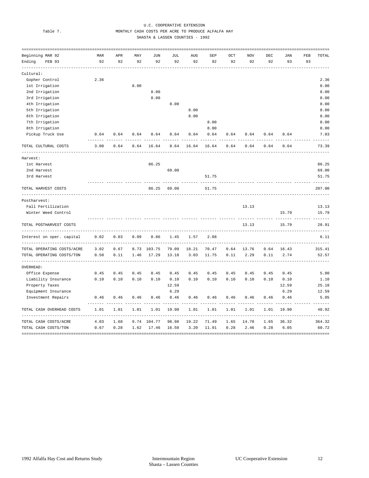### U.C. COOPERATIVE EXTENSION<br>Table 7 MONTHLY CASH COSTS BER ACEF TO BRODUCE MONTHLY CASH COSTS PER ACRE TO PRODUCE ALFALFA HAY SHASTA & LASSEN COUNTIES - 1992

| -----------------          |      |                |      |        |        |       |       |      |                              |              |       |     |          |
|----------------------------|------|----------------|------|--------|--------|-------|-------|------|------------------------------|--------------|-------|-----|----------|
| Beginning MAR 92           | MAR  | APR            | MAY  | JUN    | JUL    | AUG   | SEP   | OCT  | <b>NOV</b>                   | $_{\rm DEC}$ | JAN   | FEB | TOTAL    |
| Ending<br>FEB 93           | 92   | 92             | 92   | 92     | 92     | 92    | 92    | 92   | 92                           | 92           | 93    | 93  |          |
| Cultural:                  |      |                |      |        |        |       |       |      |                              |              |       |     |          |
| Gopher Control             | 2.36 |                |      |        |        |       |       |      |                              |              |       |     | 2.36     |
| 1st Irrigation             |      |                | 8.00 |        |        |       |       |      |                              |              |       |     | 8.00     |
| 2nd Irrigation             |      |                |      | 8.00   |        |       |       |      |                              |              |       |     | 8.00     |
| 3rd Irrigation             |      |                |      | 8.00   |        |       |       |      |                              |              |       |     | 8.00     |
| 4th Irrigation             |      |                |      |        | 8.00   |       |       |      |                              |              |       |     | 8.00     |
| 5th Irrigation             |      |                |      |        |        | 8.00  |       |      |                              |              |       |     | 8.00     |
| 6th Irrigation             |      |                |      |        |        | 8.00  |       |      |                              |              |       |     | 8.00     |
| 7th Irrigation             |      |                |      |        |        |       | 8.00  |      |                              |              |       |     | 8.00     |
| 8th Irrigation             |      |                |      |        |        |       | 8.00  |      |                              |              |       |     | 8.00     |
| Pickup Truck Use           | 0.64 | 0.64           | 0.64 | 0.64   | 0.64   | 0.64  | 0.64  | 0.64 | 0.64                         | 0.64         | 0.64  |     | 7.03     |
| TOTAL CULTURAL COSTS       | 3.00 | 0.64           | 8.64 | 16.64  | 8.64   | 16.64 | 16.64 | 0.64 | 0.64                         | 0.64         | 0.64  |     | 73.39    |
| Harvest:                   |      |                |      |        |        |       |       |      |                              |              |       |     |          |
| 1st Harvest                |      |                |      | 86.25  |        |       |       |      |                              |              |       |     | 86.25    |
| 2nd Harvest                |      |                |      |        | 69.00  |       |       |      |                              |              |       |     | 69.00    |
| 3rd Harvest                |      |                |      |        |        |       | 51.75 |      |                              |              |       |     | 51.75    |
| TOTAL HARVEST COSTS        |      |                |      | 86.25  | 69.00  |       | 51.75 |      |                              |              |       |     | 207.00   |
| Postharvest:               |      |                |      |        |        |       |       |      |                              |              |       |     |          |
| Fall Fertilization         |      |                |      |        |        |       |       |      | 13.13                        |              |       |     | 13.13    |
| Winter Weed Control        |      |                |      |        |        |       |       |      |                              |              | 15.79 |     | 15.79    |
| TOTAL POSTHARVEST COSTS    |      |                |      |        |        |       |       |      | 13.13                        |              | 15.79 |     | 28.91    |
| Interest on oper. capital  | 0.02 | 0.03           | 0.09 | 0.86   | 1.45   | 1.57  | 2.08  |      |                              |              |       |     | 6.11     |
| TOTAL OPERATING COSTS/ACRE | 3.02 | 0.67           | 8.73 | 103.75 | 79.09  | 18.21 | 70.47 | 0.64 | 13.76                        | 0.64         | 16.43 |     | 315.41   |
| TOTAL OPERATING COSTS/TON  | 0.50 | 0.11           | 1.46 | 17.29  | 13.18  | 3.03  | 11.75 | 0.11 | 2.29                         | 0.11         | 2.74  |     | 52.57    |
| OVERHEAD:                  |      |                |      |        |        |       |       |      |                              |              |       |     |          |
| Office Expense             | 0.45 | 0.45           | 0.45 | 0.45   | 0.45   | 0.45  | 0.45  | 0.45 | 0.45                         | 0.45         | 0.45  |     | 5.00     |
| Liability Insurance        | 0.10 | 0.10           | 0.10 | 0.10   | 0.10   | 0.10  | 0.10  | 0.10 | 0.10                         | 0.10         | 0.10  |     | 1.10     |
| Property Taxes             |      |                |      |        | 12.59  |       |       |      |                              |              | 12.59 |     | 25.18    |
| Equipment Insurance        |      |                |      |        | 6.29   |       |       |      |                              |              | 6.29  |     | 12.59    |
| Investment Repairs         | 0.46 | 0.46           | 0.46 | 0.46   | 0.46   | 0.46  | 0.46  | 0.46 | 0.46                         | 0.46         | 0.46  |     | 5.05     |
| TOTAL CASH OVERHEAD COSTS  | 1.01 | 1.01           | 1.01 | 1.01   | 19.90  | 1.01  | 1.01  | 1.01 | 1.01                         | 1.01         | 19.90 |     | 48.92    |
| TOTAL CASH COSTS/ACRE      | 4.03 | 1.68           | 9.74 | 104.77 | 98.98  | 19.22 | 71.49 | 1.65 | 14.78                        | 1.65         | 36.32 |     | 364.32   |
| TOTAL CASH COSTS/TON       | 0.67 | 0.28           | 1.62 | 17.46  | 16.50  | 3.20  | 11.91 | 0.28 | 2.46                         | 0.28         | 6.05  |     | 60.72    |
| ===================        |      | ============== |      |        | ====== |       |       |      | ============================ |              |       |     | ======== |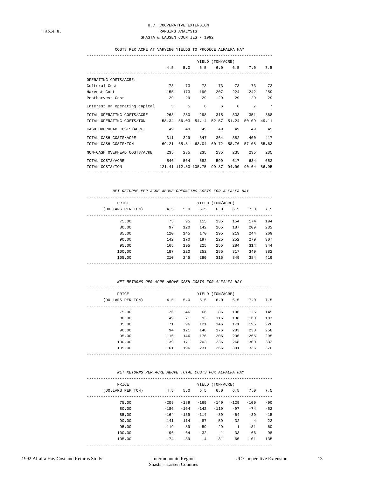### COSTS PER ACRE AT VARYING YIELDS TO PRODUCE ALFALFA HAY

-------------------------------------------------------------------------------

|                                                                | YIELD (TON/ACRE) |     |                         |     |          |                     |                |  |
|----------------------------------------------------------------|------------------|-----|-------------------------|-----|----------|---------------------|----------------|--|
|                                                                | 4.5              |     | 5.0 5.5 6.0 6.5 7.0 7.5 |     |          |                     |                |  |
| OPERATING COSTS/ACRE:                                          |                  |     |                         |     |          |                     |                |  |
| Cultural Cost                                                  |                  |     | 73 73 73 73 73          |     |          | 73 73               |                |  |
| Harvest Cost                                                   | 155              | 173 | 190                     | 207 | 2.2.4    | 242                 |                |  |
| Postharvest Cost                                               | 29               |     | 29<br>29                |     | 29<br>29 | 29                  |                |  |
| Interest on operating capital 5 5                              |                  |     |                         | 6 6 |          | $6 \quad \Box$<br>7 | $\overline{7}$ |  |
| TOTAL OPERATING COSTS/ACRE 263                                 |                  | 280 | 298                     | 315 | 333      | 351                 |                |  |
| TOTAL OPERATING COSTS/TON 58.34 56.03 54.14 52.57 51.24        |                  |     |                         |     |          | 50.09 49.11         |                |  |
| CASH OVERHEAD COSTS/ACRE 49 49 49 49 49                        |                  |     |                         |     |          | 49 49               |                |  |
| TOTAL CASH COSTS/ACRE 311                                      |                  | 329 | 347                     |     | 364 382  | 400                 |                |  |
| TOTAL CASH COSTS/TON 69.21 65.81 63.04 60.72 58.76 57.08 55.63 |                  |     |                         |     |          |                     |                |  |
| NON-CASH OVERHEAD COSTS/ACRE 235                               |                  | 235 | 235                     | 235 | 235      | 235                 |                |  |
| TOTAL COSTS/ACRE 546                                           |                  |     | 564 582                 | 599 | 617      | 634                 |                |  |
| TOTAL COSTS/TON 121.41 112.80 105.75 99.87 94.90 90.64 86.95   |                  |     |                         |     |          |                     |                |  |

 *NET RETURNS PER ACRE ABOVE OPERATING COSTS FOR ALFALFA HAY* 

| PRICE |                   |     |     | YIELD | (TON/ACRE) |     |     |     |
|-------|-------------------|-----|-----|-------|------------|-----|-----|-----|
|       | (DOLLARS PER TON) | 4.5 | 5.0 | 5.5   | 6.0        | 6.5 | 7.0 | 7.5 |
|       | 75.00             | 75  | 95  | 115   | 135        | 154 | 174 | 194 |
|       | 80.00             | 97  | 120 | 142   | 165        | 187 | 209 | 232 |
|       | 85.00             | 120 | 145 | 170   | 195        | 219 | 244 | 269 |
|       | 90.00             | 142 | 170 | 197   | 225        | 252 | 279 | 307 |
|       | 95.00             | 165 | 195 | 225   | 255        | 284 | 314 | 344 |
|       | 100.00            | 187 | 220 | 252   | 285        | 317 | 349 | 382 |
|       | 105.00            | 210 | 245 | 280   | 315        | 349 | 384 | 419 |
|       |                   |     |     |       |            |     |     |     |

### *NET RETURNS PER ACRE ABOVE CASH COSTS FOR ALFALFA HAY*

| PRICE             |     |     |     | YIELD (TON/ACRE) |     |     |     |
|-------------------|-----|-----|-----|------------------|-----|-----|-----|
| (DOLLARS PER TON) | 4.5 | 5.0 | 5.5 | 6.0              | 6.5 | 7.0 | 7.5 |
| 75.00             | 26  | 46  | 66  | 86               | 106 | 125 | 145 |
| 80.00             | 49  | 71  | 93  | 116              | 138 | 160 | 183 |
| 85.00             | 71  | 96  | 121 | 146              | 171 | 195 | 220 |
| 90.00             | 94  | 121 | 148 | 176              | 203 | 230 | 258 |
| 95.00             | 116 | 146 | 176 | 206              | 236 | 265 | 295 |
| 100.00            | 139 | 171 | 203 | 236              | 268 | 300 | 333 |
| 105.00            | 161 | 196 | 231 | 266              | 301 | 335 | 370 |
|                   |     |     |     |                  |     |     |     |

### *NET RETURNS PER ACRE ABOVE TOTAL COSTS FOR ALFALFA HAY*

| PRICE             |        |        | YIELD  | (TON/ACRE)   |              |        |       |
|-------------------|--------|--------|--------|--------------|--------------|--------|-------|
| (DOLLARS PER TON) | 4.5    | 5.0    | 5.5    | 6.0          | 6.5          | 7.0    | 7.5   |
| 75.00             | $-209$ | $-189$ | $-169$ | $-149$       | $-129$       | $-109$ | $-90$ |
| 80.00             | $-186$ | $-164$ | $-142$ | $-119$       | $-97$        | $-74$  | $-52$ |
| 85.00             | $-164$ | $-139$ | $-114$ | $-89$        | $-64$        | $-39$  | $-15$ |
| 90.00             | $-141$ | $-114$ | $-87$  | $-59$        | $-32$        | $-4$   | 23    |
| 95.00             | $-119$ | $-89$  | $-59$  | $-29$        | $\mathbf{1}$ | 31     | 60    |
| 100.00            | $-96$  | $-64$  | $-32$  | $\mathbf{1}$ | 33           | 66     | 98    |
| 105.00            | $-74$  | $-39$  | $-4$   | 31           | 66           | 101    | 135   |
|                   |        |        |        |              |              |        |       |